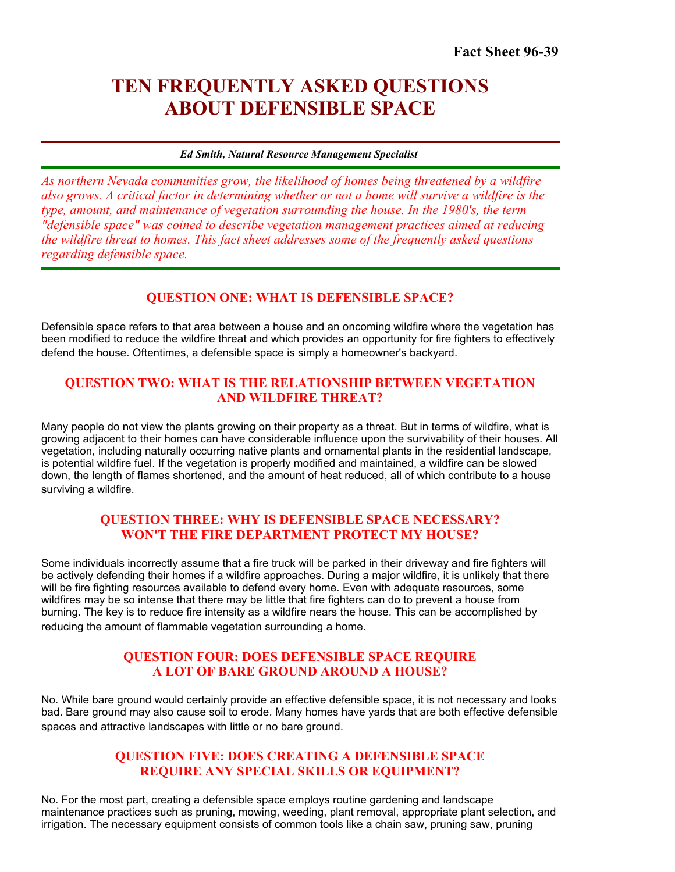# **TEN FREQUENTLY ASKED QUESTIONS ABOUT DEFENSIBLE SPACE**

#### *Ed Smith, Natural Resource Management Specialist*

*As northern Nevada communities grow, the likelihood of homes being threatened by a wildfire also grows. A critical factor in determining whether or not a home will survive a wildfire is the type, amount, and maintenance of vegetation surrounding the house. In the 1980's, the term "defensible space" was coined to describe vegetation management practices aimed at reducing the wildfire threat to homes. This fact sheet addresses some of the frequently asked questions regarding defensible space.* 

# **QUESTION ONE: WHAT IS DEFENSIBLE SPACE?**

Defensible space refers to that area between a house and an oncoming wildfire where the vegetation has been modified to reduce the wildfire threat and which provides an opportunity for fire fighters to effectively defend the house. Oftentimes, a defensible space is simply a homeowner's backyard.

### **QUESTION TWO: WHAT IS THE RELATIONSHIP BETWEEN VEGETATION AND WILDFIRE THREAT?**

Many people do not view the plants growing on their property as a threat. But in terms of wildfire, what is growing adjacent to their homes can have considerable influence upon the survivability of their houses. All vegetation, including naturally occurring native plants and ornamental plants in the residential landscape, is potential wildfire fuel. If the vegetation is properly modified and maintained, a wildfire can be slowed down, the length of flames shortened, and the amount of heat reduced, all of which contribute to a house surviving a wildfire.

# **QUESTION THREE: WHY IS DEFENSIBLE SPACE NECESSARY? WON'T THE FIRE DEPARTMENT PROTECT MY HOUSE?**

Some individuals incorrectly assume that a fire truck will be parked in their driveway and fire fighters will be actively defending their homes if a wildfire approaches. During a major wildfire, it is unlikely that there will be fire fighting resources available to defend every home. Even with adequate resources, some wildfires may be so intense that there may be little that fire fighters can do to prevent a house from burning. The key is to reduce fire intensity as a wildfire nears the house. This can be accomplished by reducing the amount of flammable vegetation surrounding a home.

#### **QUESTION FOUR: DOES DEFENSIBLE SPACE REQUIRE A LOT OF BARE GROUND AROUND A HOUSE?**

 spaces and attractive landscapes with little or no bare ground. No. While bare ground would certainly provide an effective defensible space, it is not necessary and looks bad. Bare ground may also cause soil to erode. Many homes have yards that are both effective defensible

### **QUESTION FIVE: DOES CREATING A DEFENSIBLE SPACE REQUIRE ANY SPECIAL SKILLS OR EQUIPMENT?**

 No. For the most part, creating a defensible space employs routine gardening and landscape maintenance practices such as pruning, mowing, weeding, plant removal, appropriate plant selection, and irrigation. The necessary equipment consists of common tools like a chain saw, pruning saw, pruning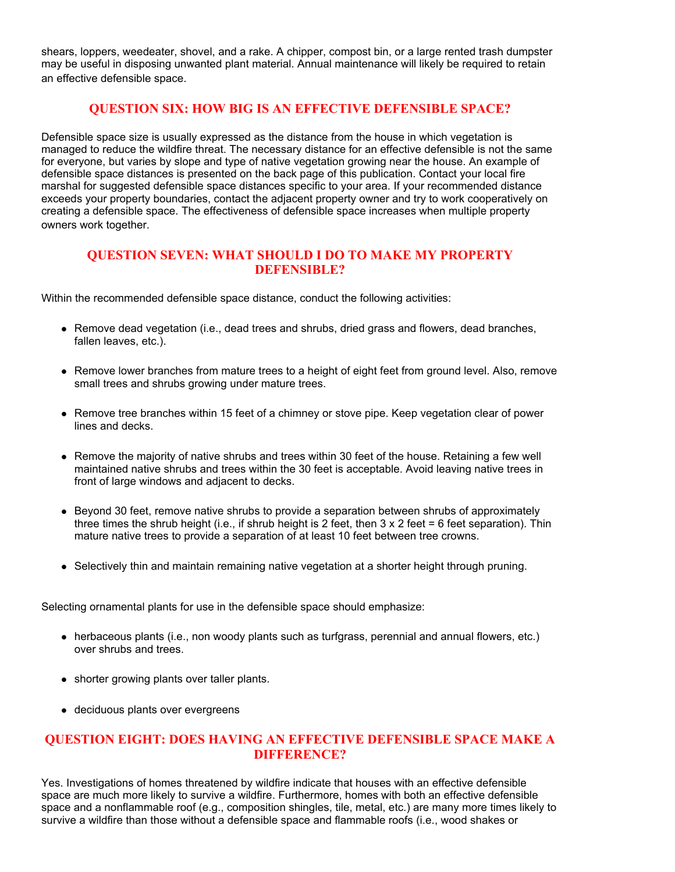shears, loppers, weedeater, shovel, and a rake. A chipper, compost bin, or a large rented trash dumpster may be useful in disposing unwanted plant material. Annual maintenance will likely be required to retain an effective defensible space.

#### **QUESTION SIX: HOW BIG IS AN EFFECTIVE DEFENSIBLE SPACE?**

Defensible space size is usually expressed as the distance from the house in which vegetation is managed to reduce the wildfire threat. The necessary distance for an effective defensible is not the same for everyone, but varies by slope and type of native vegetation growing near the house. An example of defensible space distances is presented on the back page of this publication. Contact your local fire marshal for suggested defensible space distances specific to your area. If your recommended distance exceeds your property boundaries, contact the adjacent property owner and try to work cooperatively on creating a defensible space. The effectiveness of defensible space increases when multiple property owners work together.

### **QUESTION SEVEN: WHAT SHOULD I DO TO MAKE MY PROPERTY DEFENSIBLE?**

Within the recommended defensible space distance, conduct the following activities:

- Remove dead vegetation (i.e., dead trees and shrubs, dried grass and flowers, dead branches, fallen leaves, etc.).
- Remove lower branches from mature trees to a height of eight feet from ground level. Also, remove small trees and shrubs growing under mature trees.
- Remove tree branches within 15 feet of a chimney or stove pipe. Keep vegetation clear of power lines and decks.
- maintained native shrubs and trees within the 30 feet is acceptable. Avoid leaving native trees in • Remove the majority of native shrubs and trees within 30 feet of the house. Retaining a few well front of large windows and adjacent to decks.
- Beyond 30 feet, remove native shrubs to provide a separation between shrubs of approximately three times the shrub height (i.e., if shrub height is 2 feet, then  $3 \times 2$  feet = 6 feet separation). Thin mature native trees to provide a separation of at least 10 feet between tree crowns.
- Selectively thin and maintain remaining native vegetation at a shorter height through pruning.

Selecting ornamental plants for use in the defensible space should emphasize:

- herbaceous plants (i.e., non woody plants such as turfgrass, perennial and annual flowers, etc.) over shrubs and trees.
- shorter growing plants over taller plants.
- deciduous plants over evergreens

# **QUESTION EIGHT: DOES HAVING AN EFFECTIVE DEFENSIBLE SPACE MAKE A DIFFERENCE?**

Yes. Investigations of homes threatened by wildfire indicate that houses with an effective defensible space are much more likely to survive a wildfire. Furthermore, homes with both an effective defensible space and a nonflammable roof (e.g., composition shingles, tile, metal, etc.) are many more times likely to survive a wildfire than those without a defensible space and flammable roofs (i.e., wood shakes or